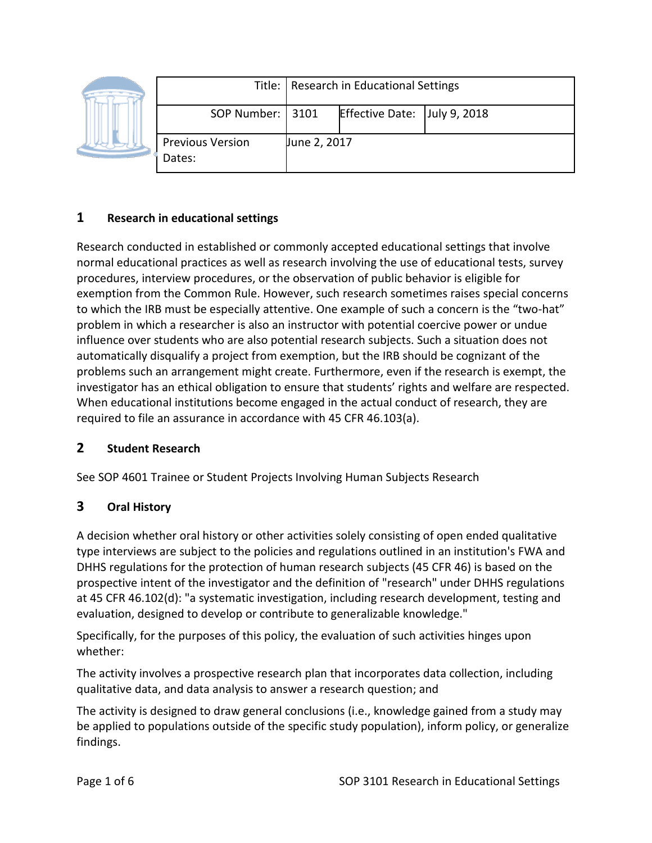|  |                                   | Title:   Research in Educational Settings |                              |  |
|--|-----------------------------------|-------------------------------------------|------------------------------|--|
|  | SOP Number:   3101                |                                           | Effective Date: July 9, 2018 |  |
|  | <b>Previous Version</b><br>Dates: | June 2, 2017                              |                              |  |

## **1 Research in educational settings**

Research conducted in established or commonly accepted educational settings that involve normal educational practices as well as research involving the use of educational tests, survey procedures, interview procedures, or the observation of public behavior is eligible for exemption from the Common Rule. However, such research sometimes raises special concerns to which the IRB must be especially attentive. One example of such a concern is the "two-hat" problem in which a researcher is also an instructor with potential coercive power or undue influence over students who are also potential research subjects. Such a situation does not automatically disqualify a project from exemption, but the IRB should be cognizant of the problems such an arrangement might create. Furthermore, even if the research is exempt, the investigator has an ethical obligation to ensure that students' rights and welfare are respected. When educational institutions become engaged in the actual conduct of research, they are required to file an assurance in accordance with 45 CFR 46.103(a).

## **2 Student Research**

See SOP 4601 Trainee or Student Projects Involving Human Subjects Research

## **3 Oral History**

A decision whether oral history or other activities solely consisting of open ended qualitative type interviews are subject to the policies and regulations outlined in an institution's FWA and DHHS regulations for the protection of human research subjects (45 CFR 46) is based on the prospective intent of the investigator and the definition of "research" under DHHS regulations at 45 CFR 46.102(d): "a systematic investigation, including research development, testing and evaluation, designed to develop or contribute to generalizable knowledge."

Specifically, for the purposes of this policy, the evaluation of such activities hinges upon whether:

The activity involves a prospective research plan that incorporates data collection, including qualitative data, and data analysis to answer a research question; and

The activity is designed to draw general conclusions (i.e., knowledge gained from a study may be applied to populations outside of the specific study population), inform policy, or generalize findings.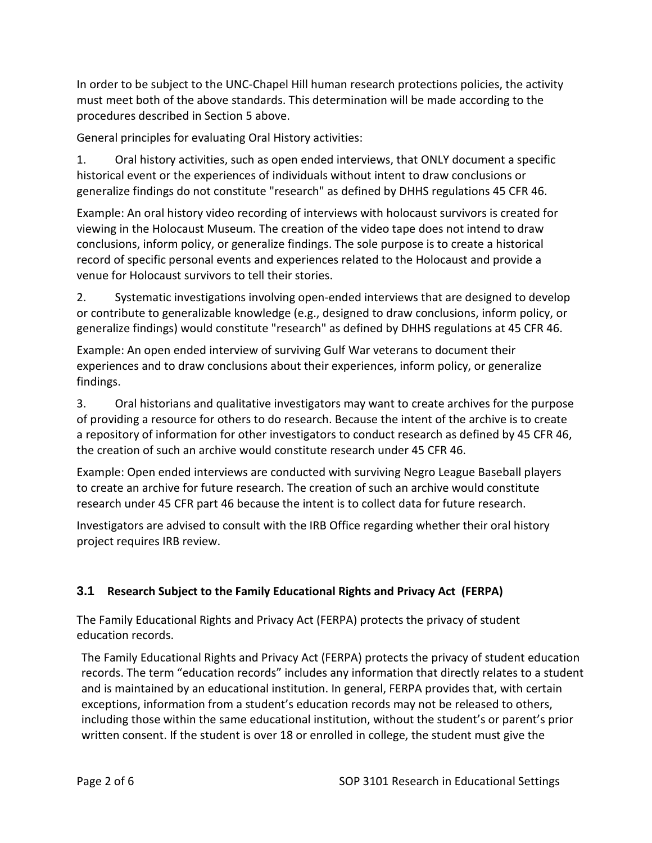In order to be subject to the UNC-Chapel Hill human research protections policies, the activity must meet both of the above standards. This determination will be made according to the procedures described in Section 5 above.

General principles for evaluating Oral History activities:

1. Oral history activities, such as open ended interviews, that ONLY document a specific historical event or the experiences of individuals without intent to draw conclusions or generalize findings do not constitute "research" as defined by DHHS regulations 45 CFR 46.

Example: An oral history video recording of interviews with holocaust survivors is created for viewing in the Holocaust Museum. The creation of the video tape does not intend to draw conclusions, inform policy, or generalize findings. The sole purpose is to create a historical record of specific personal events and experiences related to the Holocaust and provide a venue for Holocaust survivors to tell their stories.

2. Systematic investigations involving open-ended interviews that are designed to develop or contribute to generalizable knowledge (e.g., designed to draw conclusions, inform policy, or generalize findings) would constitute "research" as defined by DHHS regulations at 45 CFR 46.

Example: An open ended interview of surviving Gulf War veterans to document their experiences and to draw conclusions about their experiences, inform policy, or generalize findings.

3. Oral historians and qualitative investigators may want to create archives for the purpose of providing a resource for others to do research. Because the intent of the archive is to create a repository of information for other investigators to conduct research as defined by 45 CFR 46, the creation of such an archive would constitute research under 45 CFR 46.

Example: Open ended interviews are conducted with surviving Negro League Baseball players to create an archive for future research. The creation of such an archive would constitute research under 45 CFR part 46 because the intent is to collect data for future research.

Investigators are advised to consult with the IRB Office regarding whether their oral history project requires IRB review.

# **3.1 Research Subject to the Family Educational Rights and Privacy Act (FERPA)**

The Family Educational Rights and Privacy Act (FERPA) protects the privacy of student education records.

The Family Educational Rights and Privacy Act (FERPA) protects the privacy of student education records. The term "education records" includes any information that directly relates to a student and is maintained by an educational institution. In general, FERPA provides that, with certain exceptions, information from a student's education records may not be released to others, including those within the same educational institution, without the student's or parent's prior written consent. If the student is over 18 or enrolled in college, the student must give the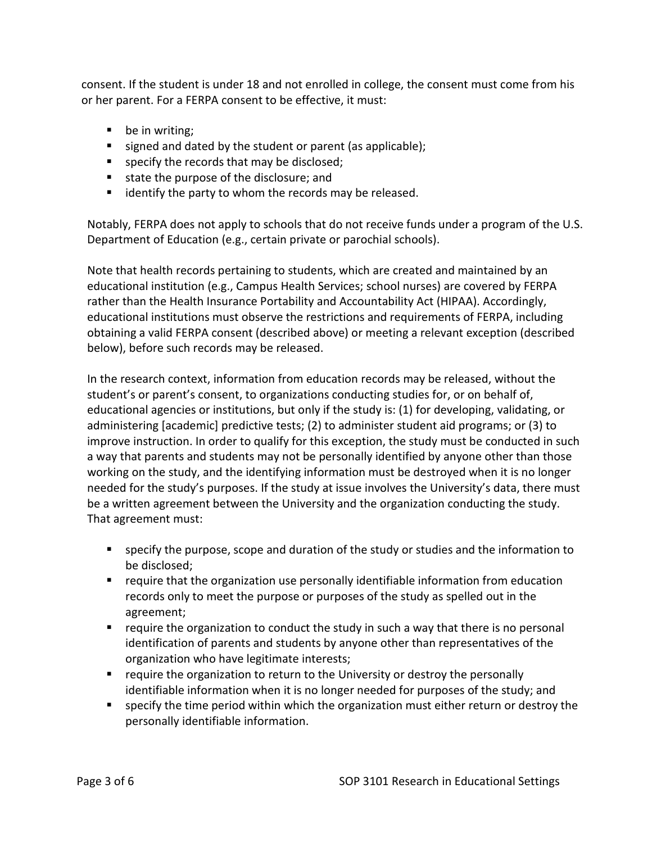consent. If the student is under 18 and not enrolled in college, the consent must come from his or her parent. For a FERPA consent to be effective, it must:

- be in writing;
- signed and dated by the student or parent (as applicable);
- specify the records that may be disclosed;
- state the purpose of the disclosure; and
- dentify the party to whom the records may be released.

Notably, FERPA does not apply to schools that do not receive funds under a program of the U.S. Department of Education (e.g., certain private or parochial schools).

Note that health records pertaining to students, which are created and maintained by an educational institution (e.g., Campus Health Services; school nurses) are covered by FERPA rather than the Health Insurance Portability and Accountability Act (HIPAA). Accordingly, educational institutions must observe the restrictions and requirements of FERPA, including obtaining a valid FERPA consent (described above) or meeting a relevant exception (described below), before such records may be released.

In the research context, information from education records may be released, without the student's or parent's consent, to organizations conducting studies for, or on behalf of, educational agencies or institutions, but only if the study is: (1) for developing, validating, or administering [academic] predictive tests; (2) to administer student aid programs; or (3) to improve instruction. In order to qualify for this exception, the study must be conducted in such a way that parents and students may not be personally identified by anyone other than those working on the study, and the identifying information must be destroyed when it is no longer needed for the study's purposes. If the study at issue involves the University's data, there must be a written agreement between the University and the organization conducting the study. That agreement must:

- specify the purpose, scope and duration of the study or studies and the information to be disclosed;
- require that the organization use personally identifiable information from education records only to meet the purpose or purposes of the study as spelled out in the agreement;
- **•** require the organization to conduct the study in such a way that there is no personal identification of parents and students by anyone other than representatives of the organization who have legitimate interests;
- require the organization to return to the University or destroy the personally identifiable information when it is no longer needed for purposes of the study; and
- **SPECT 1** specify the time period within which the organization must either return or destroy the personally identifiable information.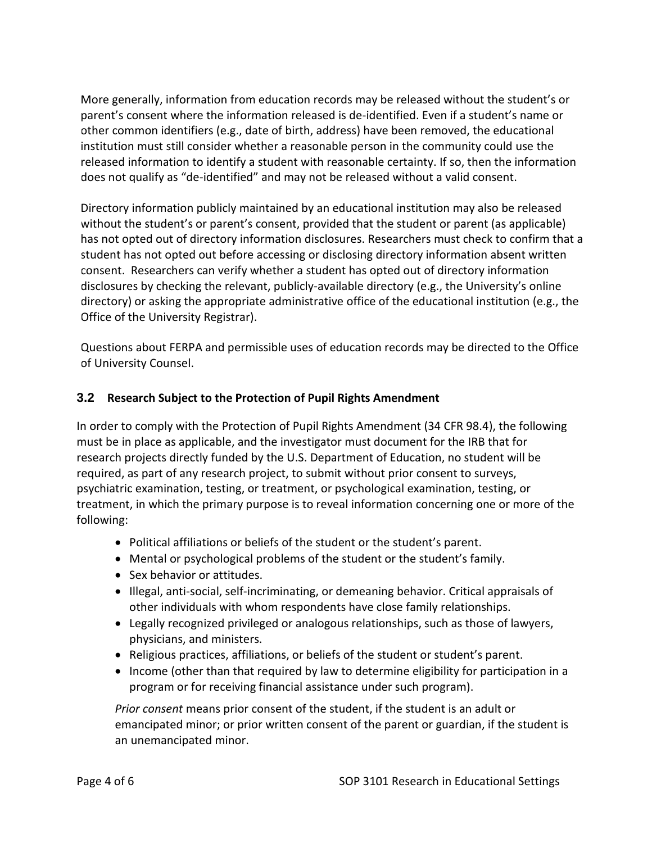More generally, information from education records may be released without the student's or parent's consent where the information released is de-identified. Even if a student's name or other common identifiers (e.g., date of birth, address) have been removed, the educational institution must still consider whether a reasonable person in the community could use the released information to identify a student with reasonable certainty. If so, then the information does not qualify as "de-identified" and may not be released without a valid consent.

Directory information publicly maintained by an educational institution may also be released without the student's or parent's consent, provided that the student or parent (as applicable) has not opted out of directory information disclosures. Researchers must check to confirm that a student has not opted out before accessing or disclosing directory information absent written consent. Researchers can verify whether a student has opted out of directory information disclosures by checking the relevant, publicly-available directory (e.g., the University's online directory) or asking the appropriate administrative office of the educational institution (e.g., the Office of the University Registrar).

Questions about FERPA and permissible uses of education records may be directed to the Office of University Counsel.

#### **3.2 Research Subject to the Protection of Pupil Rights Amendment**

In order to comply with the Protection of Pupil Rights Amendment (34 CFR 98.4), the following must be in place as applicable, and the investigator must document for the IRB that for research projects directly funded by the U.S. Department of Education, no student will be required, as part of any research project, to submit without prior consent to surveys, psychiatric examination, testing, or treatment, or psychological examination, testing, or treatment, in which the primary purpose is to reveal information concerning one or more of the following:

- Political affiliations or beliefs of the student or the student's parent.
- Mental or psychological problems of the student or the student's family.
- Sex behavior or attitudes.
- Illegal, anti-social, self-incriminating, or demeaning behavior. Critical appraisals of other individuals with whom respondents have close family relationships.
- Legally recognized privileged or analogous relationships, such as those of lawyers, physicians, and ministers.
- Religious practices, affiliations, or beliefs of the student or student's parent.
- Income (other than that required by law to determine eligibility for participation in a program or for receiving financial assistance under such program).

*Prior consent* means prior consent of the student, if the student is an adult or emancipated minor; or prior written consent of the parent or guardian, if the student is an unemancipated minor.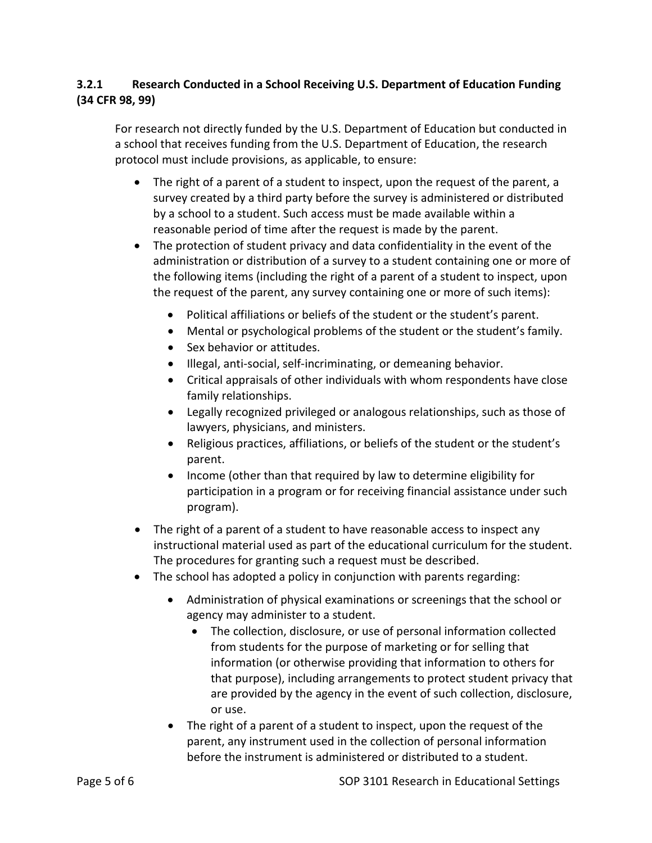### **3.2.1 Research Conducted in a School Receiving U.S. Department of Education Funding (34 CFR 98, 99)**

For research not directly funded by the U.S. Department of Education but conducted in a school that receives funding from the U.S. Department of Education, the research protocol must include provisions, as applicable, to ensure:

- The right of a parent of a student to inspect, upon the request of the parent, a survey created by a third party before the survey is administered or distributed by a school to a student. Such access must be made available within a reasonable period of time after the request is made by the parent.
- The protection of student privacy and data confidentiality in the event of the administration or distribution of a survey to a student containing one or more of the following items (including the right of a parent of a student to inspect, upon the request of the parent, any survey containing one or more of such items):
	- Political affiliations or beliefs of the student or the student's parent.
	- Mental or psychological problems of the student or the student's family.
	- Sex behavior or attitudes.
	- Illegal, anti-social, self-incriminating, or demeaning behavior.
	- Critical appraisals of other individuals with whom respondents have close family relationships.
	- Legally recognized privileged or analogous relationships, such as those of lawyers, physicians, and ministers.
	- Religious practices, affiliations, or beliefs of the student or the student's parent.
	- Income (other than that required by law to determine eligibility for participation in a program or for receiving financial assistance under such program).
- The right of a parent of a student to have reasonable access to inspect any instructional material used as part of the educational curriculum for the student. The procedures for granting such a request must be described.
- The school has adopted a policy in conjunction with parents regarding:
	- Administration of physical examinations or screenings that the school or agency may administer to a student.
		- The collection, disclosure, or use of personal information collected from students for the purpose of marketing or for selling that information (or otherwise providing that information to others for that purpose), including arrangements to protect student privacy that are provided by the agency in the event of such collection, disclosure, or use.
	- The right of a parent of a student to inspect, upon the request of the parent, any instrument used in the collection of personal information before the instrument is administered or distributed to a student.